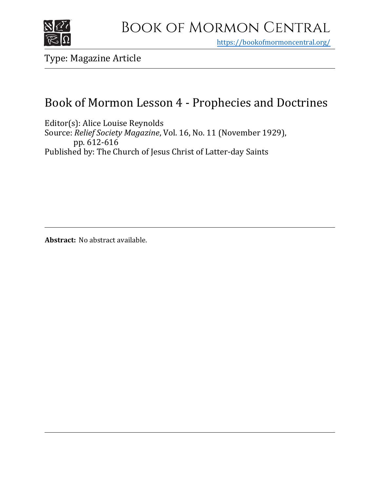

https[://bookofmormoncentral.org/](http://bookofmormoncentral.org/)

Type: Magazine Article

# Book of Mormon Lesson 4 - Prophecies and Doctrines

Editor(s): Alice Louise Reynolds Source: *Relief Society Magazine*, Vol. 16, No. 11 (November 1929), pp. 612-616 Published by: The Church of Jesus Christ of Latter-day Saints

**Abstract:** No abstract available.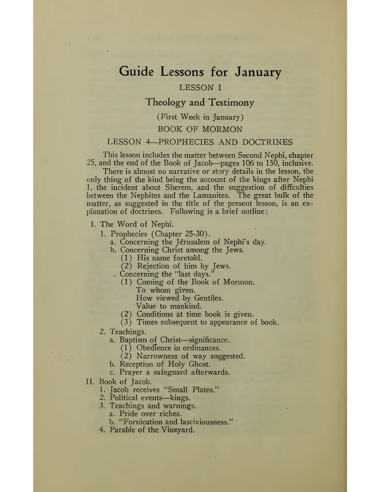# Guide Lessons for January

## LESSON I

# Theology and Testimony

### (First Week in January)

#### BOOK OF MORMON

### LESSON 4—PROPHECIES AND DOCTRINES

This lesson includes the matter between Second Nephi, chapter 25, and the end of the Book of Jacob—pages 106 to 150, inclusive.

There is almost no narrative or story details in the lesson, the only thing of the kind being the account of the kings after Nephi I, the incident about Sherem, and the suggestion of difficulties between the Nephites and the Lamanites. The great bulk of the matter, as suggested in the title of the present lesson, is an explanation of doctrines. Following is a brief outline:

- I.The Word of Nephi.
	- 1. Prophecies (Chapter 25-30).
		- a. Concerning the Jerusalem of Nephi's day.
		- b. Concerning Christ among the Jews.
			- (1) His name foretold.
			- (2) Rejection of him by Jews.
			- . Concerning the "last days."
				- (1) Coming of the Book of Mormon. To whom given.

How viewed by Gentiles.

Value to mankind.

- (2) Conditions at time book is given.
- (3) Times subsequent to appearance of book.
- 2. Teachings.
	- a. Baptism of Christ—significance.
		- (1) Obedience in ordinances.
		- (2) Narrowness of way suggested.
	- b. Reception of Holy Ghost.
	- c. Prayer a safeguard afterwards.
- II. Book of Jacob.
	- 1. Jacob receives "Small Plates."
	- 2. Political events—kings.
	- 3. Teachings and warnings.
		- a. Pride over riches.
		- b. "Fornication and lasciviousness."
	- 4. Parable of the Vineyard.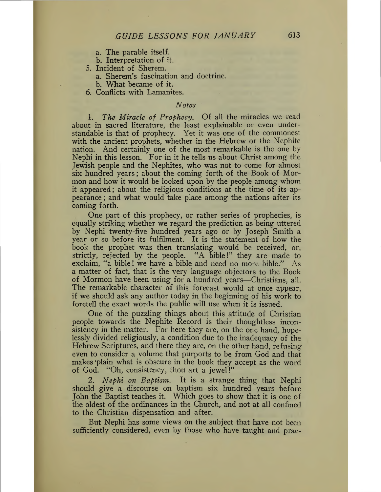- a. The parable itself.
- b. Interpretation of it.
- 5. Incident of Sherem.
	- a. Sherem's fascination and doctrine.
	- b. What became of it.
- 6. Conflicts with Lamanites.

## *Notes <sup>1</sup>*

1. *The Miracle of Prophecy.* Of all the miracles we read about in sacred literature, the least explainable or even understandable is that of prophecy. Yet it was one of the commonest with the ancient prophets, whether in the Hebrew or the Nephite nation. And certainly one of the most remarkable is the one by Nephi in this lesson. For in it he tells us about Christ among the Jewish people and the Nephites, who was not to come for almost six hundred years; about the coming forth of the Book of Mormon and how it would be looked upon by the people among whom it appeared; about the religious conditions at the time of its appearance ; and what would take place among the nations after its coming forth.

One part of this prophecy, or rather series of prophecies, is equally striking whether we regard the prediction as being uttered by Nephi twenty-five hundred years ago or by Joseph Smith a year or so before its fulfilment. It is the statement of how the book the prophet was then translating would be received, or, strictly, rejected by the people. "A bible!" they are made to exclaim, "a bible! we have a bible and need no more bible." As a matter of fact, that is the very language objectors to the Book of Mormon have been using for a hundred years—Christians, all. The remarkable character of this forecast would at once appear, if we should ask any author today in the beginning of his work to foretell the exact words the public will use when it is issued.

One of the puzzling things about this attitude of Christian people towards the Nephite Record is their thoughtless inconsistency in the matter. For here they are, on the one hand, hopelessly divided religiously, a condition due to the inadequacy of the Hebrew Scriptures, and there they are, on the other hand, refusingeven to consider a volume that purports to be from God and that makes 'plain what is obscure in the book they accept as the word of God. "Oh, consistency, thou art a jewel!"

2. *Nephi on Baptism.* It is a strange thing that Nephi should give a discourse on baptism six hundred years before John the Baptist teaches it. Which goes to show that it is one of the oldest of the ordinances in the Church, and not at all confined to the Christian dispensation and after.

But Nephi has some views on the subject that have not been sufficiently considered, even by those who have taught and prac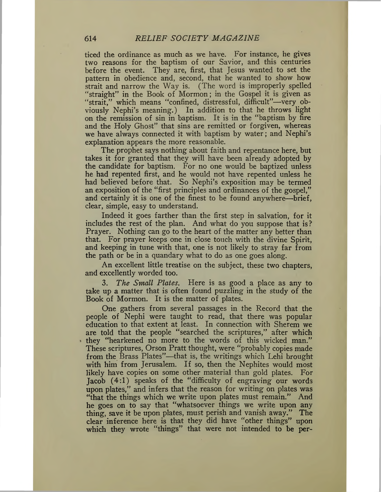ticed the ordinance as much as we have. For instance, he gives two reasons for the baptism of our Savior, and this centuries before the event. They are, first, that Jesus wanted to set the pattern in obedience and, second, that he wanted to show how strait and narrow the Way is. (The word is improperly spelled "straight" in the Book of Mormon; in the Gospel it is given as "strait," which means "confined, distressful, difficult"—very obviously Nephi's meaning.) In addition to that he throws light on the remission of sin in baptism. It is in the "baptism by fire and the Holy Ghost" that sins are remitted or forgiven, whereas we have always connected it with baptism by water; and Nephi's explanation appears the more reasonable.

The prophet says nothing about faith and repentance here, but takes it for granted that they will have been already adopted by the candidate for baptism. For no one would be baptized unless he had repented first, and he would not have repented unless he had believed before that. So Nephi's exposition may be termed an exposition of the "first principles and ordinances of the gospel," and certainly it is one of the finest to be found anywhere—brief, clear, simple, easy to understand.

Indeed it goes farther than the first step in salvation, for it includes the rest of the plan. And what do you suppose that is? Prayer. Nothing can go to the heart of the matter any better than that. For prayer keeps one in close touch with the divine Spirit, and keeping in tune with that, one is not likely to stray far from the path or be in a quandary what to do as one goes along.

An excellent little treatise on the subject, these two chapters, and excellently worded too.

3. *The Small Plates.* Here is as good a place as any to take up a matter that is often found puzzling in the study of the Book of Mormon. It is the matter of plates.

One gathers from several passages in the Record that the people of Nephi were taught to read, that there was popular education to that extent at least. In connection with Sherem we are told that the people "searched the scriptures," after which they "hearkened no more to the words of this wicked man." These scriptures, Orson Pratt thought, were "probably copies made from the Brass Plates"—that is, the writings which Lehi brought with him from Jerusalem. If so, then the Nephites would most likely have copies on some other material than gold plates. For Jacob  $(4:1)$  speaks of the "difficulty of engraving our words upon plates," and infers that the reason for writing on plates was "that the things which we write upon plates must remain." And he goes on to say that "whatsoever things we write upon any thing, save it be upon plates, must perish and vanish away." The clear inference here is that they did have "other things" upon which they wrote "things" that were not intended to be per-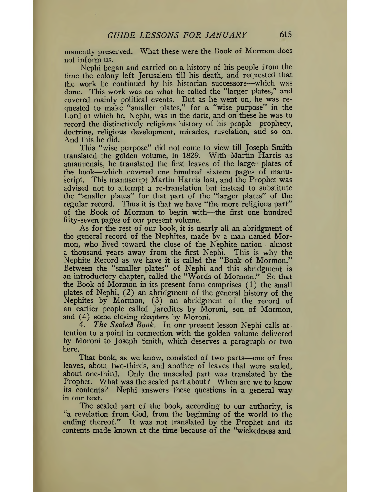manently preserved. What these were the Book of Mormon does not inform us.

Nephi began and carried on a history of his people from the time the colony left Jerusalem till his death, and requested that the work be continued by his historian successors—which was done. This work was on what he called the "larger plates," and covered mainly political events. But as he went on, he was requested to make "smaller plates," for a "wise purpose" in the Lord of which he, Nephi, was in the dark, and on these he was to record the distinctively religious history of his people—prophecy, doctrine, religious development, miracles, revelation, and so on. And this he did.

This "wise purpose" did not come to view till Joseph Smith translated the golden volume, in 1829. With Martin Harris as amanuensis, he translated the first leaves of the larger plates of the book—which covered one hundred sixteen pages of manuscript. This manuscript Martin Harris lost, and the Prophet was advised not to attempt a re-translation but instead to substitute the "smaller plates" for that part of the "larger plates" of the regular record. Thus it is that we have "the more religious part" of the Book of Mormon to begin with—the first one hundred fifty-seven pages of our present volume.

As for the rest of our book, it is nearly all an abridgment of the general record of the Nephites, made by a man named Mormon, who lived toward the close of the Nephite nation—almost a thousand years away from the first Nephi. This is why the Nephite Record as we have it is called the "Book of Mormon." Between the "smaller plates" of Nephi and this abridgment is an introductory chapter, called the "Words of Mormon." So that the Book of Mormon in its present form comprises (1) the small plates of Nephi, (2) an abridgment of the general history of the Nephites by Mormon, (3) an abridgment of the record of an earlier people called Jaredites by Moroni, son of Mormon, and  $(4)$  some closing chapters by Moroni.<br>4. The Sealed Book. In our presen

4. *The Sealed Book.* In our present lesson Nephi calls attention to a point in connection with the golden volume delivered by Moroni to Joseph Smith, which deserves a paragraph or two here.

That book, as we know, consisted of two parts—one of free leaves, about two-thirds, and another of leaves that were sealed, about one-third. Only the unsealed part was translated by the Prophet. What was the sealed part about? When are we to know its contents? Nephi answers these questions in a general way in our text.

The sealed part of the book, according to our authority, is "a revelation from God, from the beginning of the world to the ending thereof." It was not translated by the Prophet and its contents made known at the time because of the "wickedness and